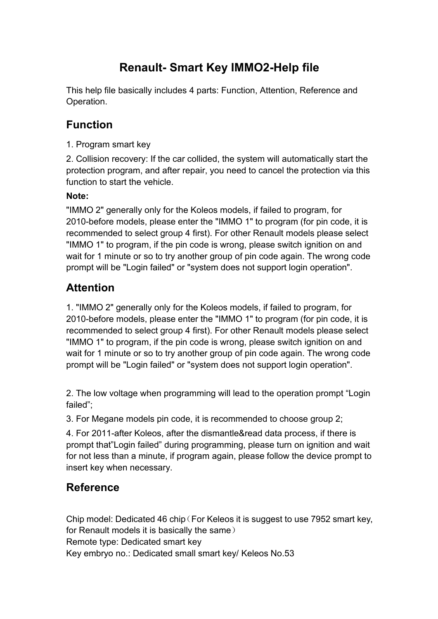# **Renault- Smart Key IMMO2-Help file**

This help file basically includes 4 parts: Function, Attention, Reference and Operation.

## **Function**

1. Program smart key

2. Collision recovery: If the car collided, the system will automatically start the protection program, and after repair, you need to cancel the protection via this function to start the vehicle.

#### **Note:**

"IMMO 2" generally only for the Koleos models, if failed to program, for 2010-before models, please enter the "IMMO 1" to program (for pin code, it is recommended to select group 4 first). For other Renault models please select "IMMO 1" to program, if the pin code is wrong, please switch ignition on and wait for 1 minute or so to try another group of pin code again. The wrong code prompt will be "Login failed" or "system does not support login operation".

## **Attention**

1. "IMMO 2" generally only for the Koleos models, if failed to program, for 2010-before models, please enter the "IMMO 1" to program (for pin code, it is recommended to select group 4 first). For other Renault models please select "IMMO 1" to program, if the pin code is wrong, please switch ignition on and wait for 1 minute or so to try another group of pin code again. The wrong code prompt will be "Login failed" or "system does not support login operation".

2. The low voltage when programming will lead to the operation prompt "Login failed";

3. For Megane models pin code, it is recommended to choose group 2;

4. For 2011-after Koleos, after the dismantle&read data process, if there is prompt that"Login failed" during programming, please turn on ignition and wait for not less than a minute, if program again, please follow the device prompt to insert key when necessary.

### **Reference**

Chip model: Dedicated 46 chip (For Keleos it is suggest to use 7952 smart key, for Renault models it is basically the same) Remote type: Dedicated smart key Key embryo no.: Dedicated small smart key/ Keleos No.53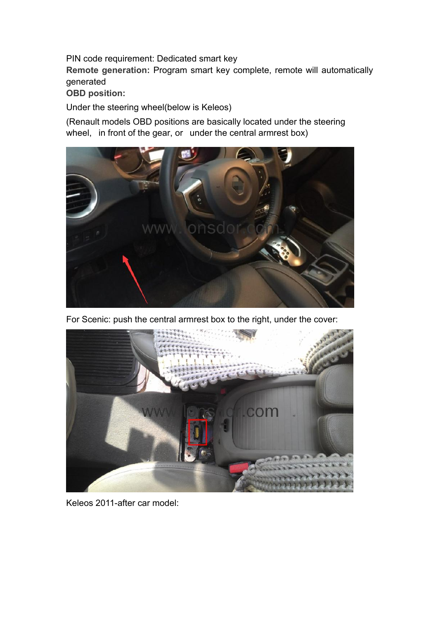PIN code requirement: Dedicated smart key

**Remote generation:** Program smart key complete, remote will automatically generated

**OBD position:**

Under the steering wheel(below is Keleos)

(Renault models OBD positions are basically located under the steering wheel, in front of the gear, or under the central armrest box)



For Scenic: push the central armrest box to the right, under the cover:



Keleos 2011-after car model: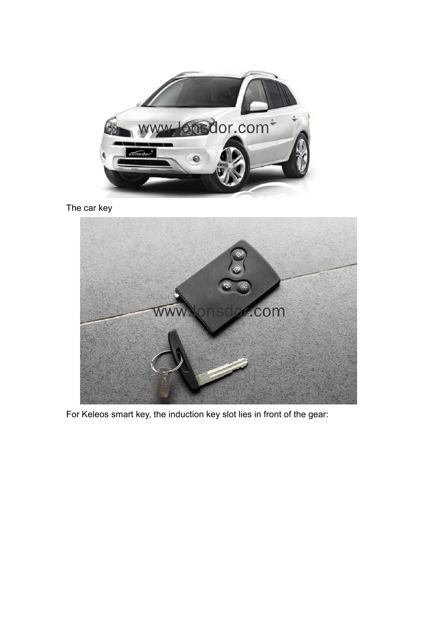

The car key



For Keleos smart key, the induction key slot lies in front of the gear: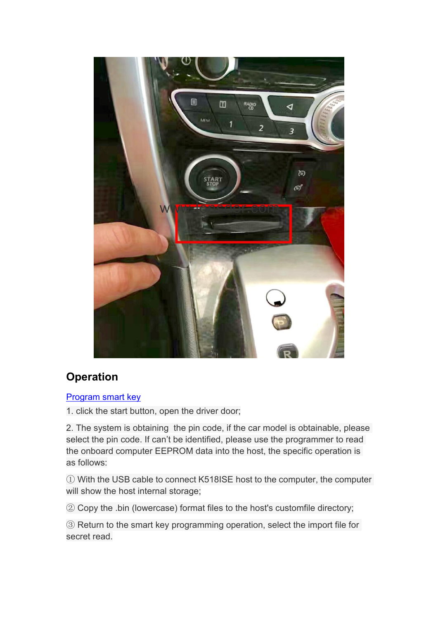

# **Operation**

#### [Program](http://translate.lonsdor.com/translate/HelpHelpContent/1615/19/3/2/19) smart key

1. click the start button, open the driver door;

2. The system is obtaining the pin code, if the car model is obtainable, please select the pin code. If can't be identified, please use the programmer to read the onboard computer EEPROM data into the host, the specific operation is as follows:

① With the USB cable to connect K518ISE host to the computer, the computer will show the host internal storage;

② Copy the .bin (lowercase) format files to the host's customfile directory;

③ Return to the smart key programming operation, select the import file for secret read.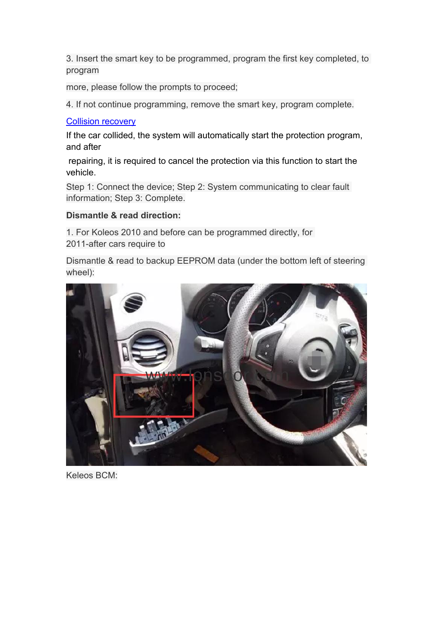3. Insert the smart key to be programmed, program the first key completed, to program

more, please follow the prompts to proceed;

4. If not continue programming, remove the smart key, program complete.

#### Collision [recovery](http://translate.lonsdor.com/translate/HelpHelpContent/1615/19/3/2/19)

If the car collided, the system will automatically start the protection program, and after

repairing, it is required to cancel the protection via this function to start the vehicle.

Step 1: Connect the device; Step 2: System communicating to clear fault information; Step 3: Complete.

#### **Dismantle & read direction:**

1. For Koleos 2010 and before can be programmed directly, for 2011-after cars require to

Dismantle & read to backup EEPROM data (under the bottom left of steering wheel):

![](_page_4_Picture_10.jpeg)

Keleos BCM: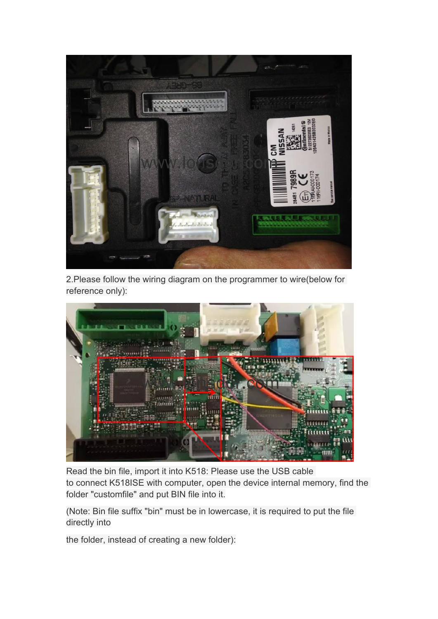![](_page_5_Picture_0.jpeg)

2.Please follow the wiring diagram on the programmer to wire(below for reference only):

![](_page_5_Picture_2.jpeg)

Read the bin file, import it into K518: Please use the USB cable to connect K518ISE with computer, open the device internal memory, find the folder "customfile" and put BIN file into it.

(Note: Bin file suffix "bin" must be in lowercase, it is required to put the file directly into

the folder, instead of creating a new folder):